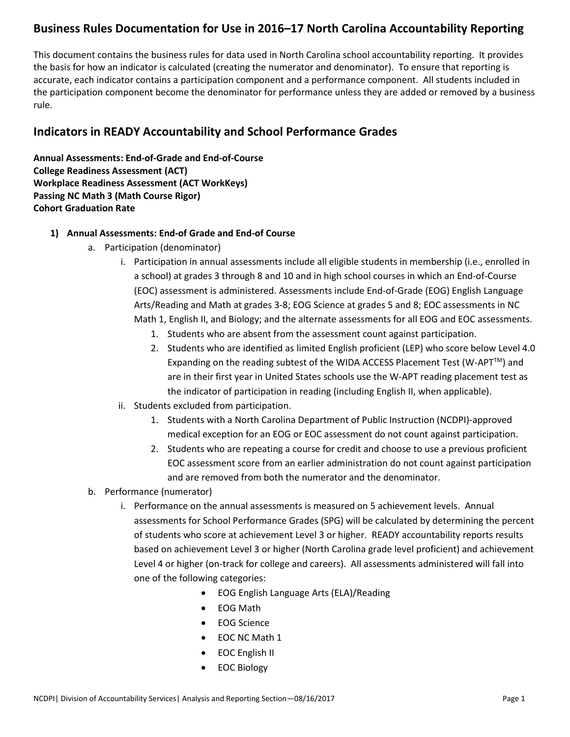## **Business Rules Documentation for Use in 2016–17 North Carolina Accountability Reporting**

This document contains the business rules for data used in North Carolina school accountability reporting. It provides the basis for how an indicator is calculated (creating the numerator and denominator). To ensure that reporting is accurate, each indicator contains a participation component and a performance component. All students included in the participation component become the denominator for performance unless they are added or removed by a business rule.

## **Indicators in READY Accountability and School Performance Grades**

**Annual Assessments: End-of-Grade and End-of-Course College Readiness Assessment (ACT) Workplace Readiness Assessment (ACT WorkKeys) Passing NC Math 3 (Math Course Rigor) Cohort Graduation Rate**

### **1) Annual Assessments: End-of Grade and End-of Course**

- a. Participation (denominator)
	- i. Participation in annual assessments include all eligible students in membership (i.e., enrolled in a school) at grades 3 through 8 and 10 and in high school courses in which an End-of-Course (EOC) assessment is administered. Assessments include End-of-Grade (EOG) English Language Arts/Reading and Math at grades 3-8; EOG Science at grades 5 and 8; EOC assessments in NC Math 1, English II, and Biology; and the alternate assessments for all EOG and EOC assessments.
		- 1. Students who are absent from the assessment count against participation.
		- 2. Students who are identified as limited English proficient (LEP) who score below Level 4.0 Expanding on the reading subtest of the WIDA ACCESS Placement Test (W-APT<sup>TM</sup>) and are in their first year in United States schools use the W-APT reading placement test as the indicator of participation in reading (including English II, when applicable).
	- ii. Students excluded from participation.
		- 1. Students with a North Carolina Department of Public Instruction (NCDPI)-approved medical exception for an EOG or EOC assessment do not count against participation.
		- 2. Students who are repeating a course for credit and choose to use a previous proficient EOC assessment score from an earlier administration do not count against participation and are removed from both the numerator and the denominator.
- b. Performance (numerator)
	- i. Performance on the annual assessments is measured on 5 achievement levels. Annual assessments for School Performance Grades (SPG) will be calculated by determining the percent of students who score at achievement Level 3 or higher. READY accountability reports results based on achievement Level 3 or higher (North Carolina grade level proficient) and achievement Level 4 or higher (on-track for college and careers). All assessments administered will fall into one of the following categories:
		- EOG English Language Arts (ELA)/Reading
		- EOG Math
		- EOG Science
		- EOC NC Math 1
		- EOC English II
		- EOC Biology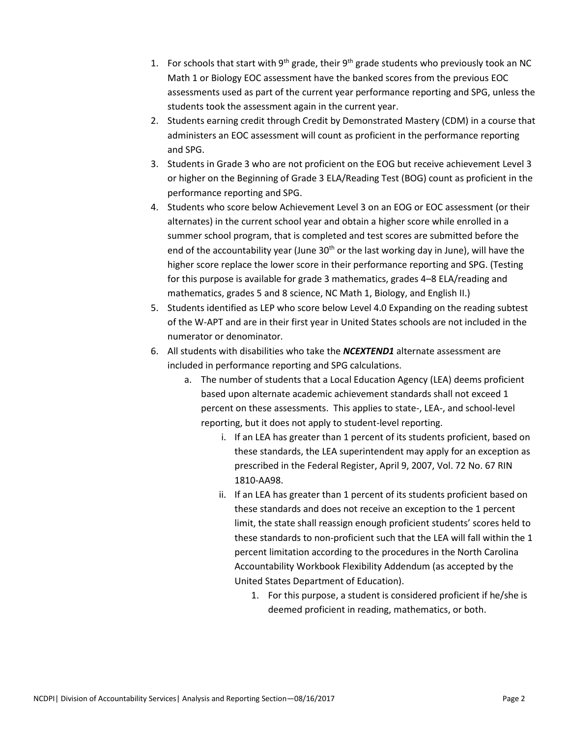- 1. For schools that start with 9<sup>th</sup> grade, their 9<sup>th</sup> grade students who previously took an NC Math 1 or Biology EOC assessment have the banked scores from the previous EOC assessments used as part of the current year performance reporting and SPG, unless the students took the assessment again in the current year.
- 2. Students earning credit through Credit by Demonstrated Mastery (CDM) in a course that administers an EOC assessment will count as proficient in the performance reporting and SPG.
- 3. Students in Grade 3 who are not proficient on the EOG but receive achievement Level 3 or higher on the Beginning of Grade 3 ELA/Reading Test (BOG) count as proficient in the performance reporting and SPG.
- 4. Students who score below Achievement Level 3 on an EOG or EOC assessment (or their alternates) in the current school year and obtain a higher score while enrolled in a summer school program, that is completed and test scores are submitted before the end of the accountability year (June  $30<sup>th</sup>$  or the last working day in June), will have the higher score replace the lower score in their performance reporting and SPG. (Testing for this purpose is available for grade 3 mathematics, grades 4–8 ELA/reading and mathematics, grades 5 and 8 science, NC Math 1, Biology, and English II.)
- 5. Students identified as LEP who score below Level 4.0 Expanding on the reading subtest of the W-APT and are in their first year in United States schools are not included in the numerator or denominator.
- 6. All students with disabilities who take the *NCEXTEND1* alternate assessment are included in performance reporting and SPG calculations.
	- a. The number of students that a Local Education Agency (LEA) deems proficient based upon alternate academic achievement standards shall not exceed 1 percent on these assessments. This applies to state-, LEA-, and school-level reporting, but it does not apply to student-level reporting.
		- i. If an LEA has greater than 1 percent of its students proficient, based on these standards, the LEA superintendent may apply for an exception as prescribed in the Federal Register, April 9, 2007, Vol. 72 No. 67 RIN 1810-AA98.
		- ii. If an LEA has greater than 1 percent of its students proficient based on these standards and does not receive an exception to the 1 percent limit, the state shall reassign enough proficient students' scores held to these standards to non-proficient such that the LEA will fall within the 1 percent limitation according to the procedures in the North Carolina Accountability Workbook Flexibility Addendum (as accepted by the United States Department of Education).
			- 1. For this purpose, a student is considered proficient if he/she is deemed proficient in reading, mathematics, or both.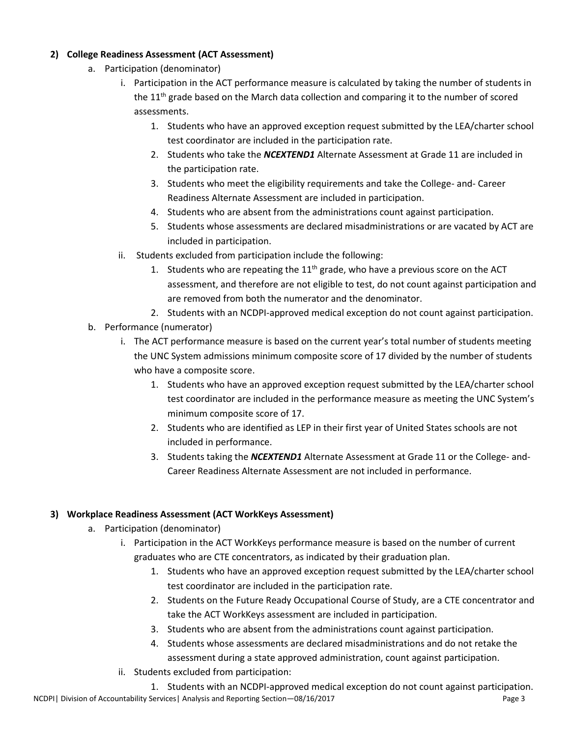### **2) College Readiness Assessment (ACT Assessment)**

- a. Participation (denominator)
	- i. Participation in the ACT performance measure is calculated by taking the number of students in the  $11<sup>th</sup>$  grade based on the March data collection and comparing it to the number of scored assessments.
		- 1. Students who have an approved exception request submitted by the LEA/charter school test coordinator are included in the participation rate.
		- 2. Students who take the *NCEXTEND1* Alternate Assessment at Grade 11 are included in the participation rate.
		- 3. Students who meet the eligibility requirements and take the College- and- Career Readiness Alternate Assessment are included in participation.
		- 4. Students who are absent from the administrations count against participation.
		- 5. Students whose assessments are declared misadministrations or are vacated by ACT are included in participation.
	- ii. Students excluded from participation include the following:
		- 1. Students who are repeating the  $11<sup>th</sup>$  grade, who have a previous score on the ACT assessment, and therefore are not eligible to test, do not count against participation and are removed from both the numerator and the denominator.
		- 2. Students with an NCDPI-approved medical exception do not count against participation.
- b. Performance (numerator)
	- i. The ACT performance measure is based on the current year's total number of students meeting the UNC System admissions minimum composite score of 17 divided by the number of students who have a composite score.
		- 1. Students who have an approved exception request submitted by the LEA/charter school test coordinator are included in the performance measure as meeting the UNC System's minimum composite score of 17.
		- 2. Students who are identified as LEP in their first year of United States schools are not included in performance.
		- 3. Students taking the *NCEXTEND1* Alternate Assessment at Grade 11 or the College- and-Career Readiness Alternate Assessment are not included in performance.

#### **3) Workplace Readiness Assessment (ACT WorkKeys Assessment)**

- a. Participation (denominator)
	- i. Participation in the ACT WorkKeys performance measure is based on the number of current graduates who are CTE concentrators, as indicated by their graduation plan.
		- 1. Students who have an approved exception request submitted by the LEA/charter school test coordinator are included in the participation rate.
		- 2. Students on the Future Ready Occupational Course of Study, are a CTE concentrator and take the ACT WorkKeys assessment are included in participation.
		- 3. Students who are absent from the administrations count against participation.
		- 4. Students whose assessments are declared misadministrations and do not retake the assessment during a state approved administration, count against participation.
	- ii. Students excluded from participation:
- NCDPI | Division of Accountability Services | Analysis and Reporting Section 08/16/2017 Page 3 1. Students with an NCDPI-approved medical exception do not count against participation.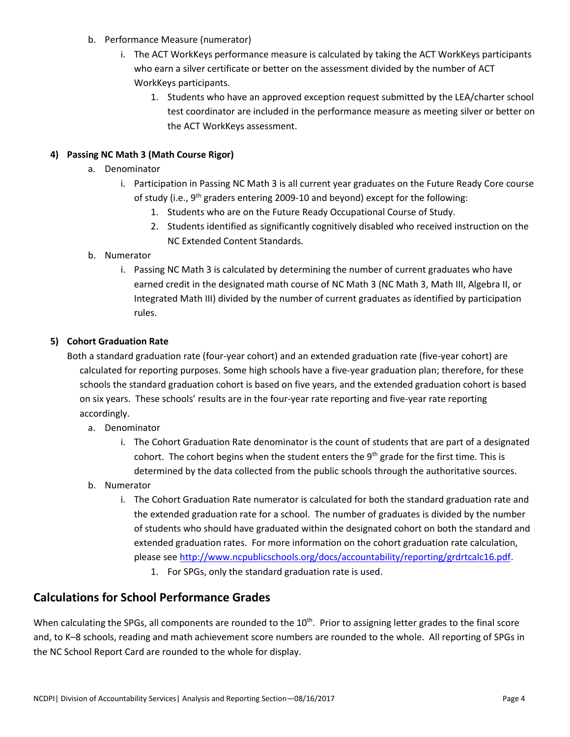- b. Performance Measure (numerator)
	- i. The ACT WorkKeys performance measure is calculated by taking the ACT WorkKeys participants who earn a silver certificate or better on the assessment divided by the number of ACT WorkKeys participants.
		- 1. Students who have an approved exception request submitted by the LEA/charter school test coordinator are included in the performance measure as meeting silver or better on the ACT WorkKeys assessment.

### **4) Passing NC Math 3 (Math Course Rigor)**

- a. Denominator
	- i. Participation in Passing NC Math 3 is all current year graduates on the Future Ready Core course of study (i.e.,  $9^{th}$  graders entering 2009-10 and beyond) except for the following:
		- 1. Students who are on the Future Ready Occupational Course of Study.
		- 2. Students identified as significantly cognitively disabled who received instruction on the NC Extended Content Standards.

### b. Numerator

i. Passing NC Math 3 is calculated by determining the number of current graduates who have earned credit in the designated math course of NC Math 3 (NC Math 3, Math III, Algebra II, or Integrated Math III) divided by the number of current graduates as identified by participation rules.

### **5) Cohort Graduation Rate**

Both a standard graduation rate (four-year cohort) and an extended graduation rate (five-year cohort) are calculated for reporting purposes. Some high schools have a five-year graduation plan; therefore, for these schools the standard graduation cohort is based on five years, and the extended graduation cohort is based on six years. These schools' results are in the four-year rate reporting and five-year rate reporting accordingly.

- a. Denominator
	- i. The Cohort Graduation Rate denominator is the count of students that are part of a designated cohort. The cohort begins when the student enters the  $9<sup>th</sup>$  grade for the first time. This is determined by the data collected from the public schools through the authoritative sources.
- b. Numerator
	- i. The Cohort Graduation Rate numerator is calculated for both the standard graduation rate and the extended graduation rate for a school. The number of graduates is divided by the number of students who should have graduated within the designated cohort on both the standard and extended graduation rates. For more information on the cohort graduation rate calculation, please see [http://www.ncpublicschools.org/docs/accountability/reporting/grdrtcalc16.pdf.](http://www.ncpublicschools.org/docs/accountability/reporting/grdrtcalc16.pdf)
		- 1. For SPGs, only the standard graduation rate is used.

## **Calculations for School Performance Grades**

When calculating the SPGs, all components are rounded to the  $10<sup>th</sup>$ . Prior to assigning letter grades to the final score and, to K–8 schools, reading and math achievement score numbers are rounded to the whole. All reporting of SPGs in the NC School Report Card are rounded to the whole for display.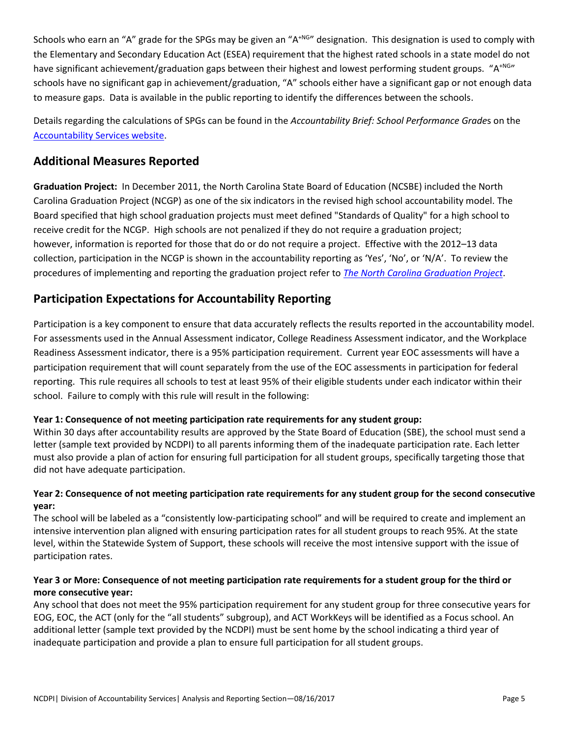Schools who earn an "A" grade for the SPGs may be given an "A<sup>+NG</sup>" designation. This designation is used to comply with the Elementary and Secondary Education Act (ESEA) requirement that the highest rated schools in a state model do not have significant achievement/graduation gaps between their highest and lowest performing student groups. "A<sup>+NG</sup>" schools have no significant gap in achievement/graduation, "A" schools either have a significant gap or not enough data to measure gaps. Data is available in the public reporting to identify the differences between the schools.

Details regarding the calculations of SPGs can be found in the *Accountability Brief: School Performance Grade*s on the [Accountability Services website.](http://www.ncpublicschools.org/accountability/reporting/)

## **Additional Measures Reported**

**Graduation Project:** In December 2011, the North Carolina State Board of Education (NCSBE) included the North Carolina Graduation Project (NCGP) as one of the six indicators in the revised high school accountability model. The Board specified that high school graduation projects must meet defined "Standards of Quality" for a high school to receive credit for the NCGP. High schools are not penalized if they do not require a graduation project; however, information is reported for those that do or do not require a project. Effective with the 2012–13 data collection, participation in the NCGP is shown in the accountability reporting as 'Yes', 'No', or 'N/A'. To review the procedures of implementing and reporting the graduation project refer to *[The North Carolina Graduation Project](http://www.ncpublicschools.org/docs/accountability/testing/eoc/gradproject15.pdf)*.

## **Participation Expectations for Accountability Reporting**

Participation is a key component to ensure that data accurately reflects the results reported in the accountability model. For assessments used in the Annual Assessment indicator, College Readiness Assessment indicator, and the Workplace Readiness Assessment indicator, there is a 95% participation requirement. Current year EOC assessments will have a participation requirement that will count separately from the use of the EOC assessments in participation for federal reporting. This rule requires all schools to test at least 95% of their eligible students under each indicator within their school. Failure to comply with this rule will result in the following:

### **Year 1: Consequence of not meeting participation rate requirements for any student group:**

Within 30 days after accountability results are approved by the State Board of Education (SBE), the school must send a letter (sample text provided by NCDPI) to all parents informing them of the inadequate participation rate. Each letter must also provide a plan of action for ensuring full participation for all student groups, specifically targeting those that did not have adequate participation.

### **Year 2: Consequence of not meeting participation rate requirements for any student group for the second consecutive year:**

The school will be labeled as a "consistently low-participating school" and will be required to create and implement an intensive intervention plan aligned with ensuring participation rates for all student groups to reach 95%. At the state level, within the Statewide System of Support, these schools will receive the most intensive support with the issue of participation rates.

### **Year 3 or More: Consequence of not meeting participation rate requirements for a student group for the third or more consecutive year:**

Any school that does not meet the 95% participation requirement for any student group for three consecutive years for EOG, EOC, the ACT (only for the "all students" subgroup), and ACT WorkKeys will be identified as a Focus school. An additional letter (sample text provided by the NCDPI) must be sent home by the school indicating a third year of inadequate participation and provide a plan to ensure full participation for all student groups.